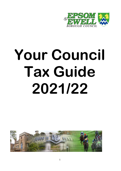

# **Your Council Tax Guide 2021/22**

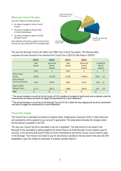### **Where your Council Tax goes**

Your bill is made up of three elements:

- An amount charged by Surrey County Council
- An amount charged by Surrey Police & Crime Commissioner
- An amount charged by Epsom & Ewell Borough Council

Each authority will receive a portion of the Council Tax that you pay during 2021/22 as illustrated right:



This year the Borough Council will collect over £65m from Council Tax payers. The following table compares the total amounts to be collected from Council Tax in 2021/22 with those in 2020/21:

|                           | 2020/21  | 2020/21    | 2020/21  | 2020/21    |                    |
|---------------------------|----------|------------|----------|------------|--------------------|
|                           | Total    | Amount per | Total    | Amount per | Increase for       |
|                           | precept  | Band D     | precept  | Band D     | Band D             |
|                           |          | property   |          | property   | property           |
|                           | £'000    | £          | £'000    | £          | $\frac{0}{0}$<br>£ |
| <b>Surrey County</b>      |          |            |          |            |                    |
| Council                   | 49,908   | 1,511.46   | 51,305   | 1.549.08   | $2.5*$<br>37.62    |
| Surrey Police &           |          |            |          |            |                    |
| <b>Crime Commissioner</b> | 8,934    | 270.57     | 9,467    | 285.57     | 15.00<br>5.5       |
| Epsom & Ewell             |          |            |          |            |                    |
| <b>Borough Council</b>    | 6,713    | 203.31     | 6,904    | 208.26     | $2.4**$<br>4.95    |
| <b>Total</b>              | $\bf{0}$ | $\bf{0}$   | $\bf{0}$ | $\bf{0}$   | $\bf{0}$           |

\* The annual increase in council tax for the County of 2.5% includes an increase for adult social care as allowed under the Government's provisions and does not trigger the requirements for a local referendum.

\*\*The annual increase in council tax for the Borough Council of 2.4% is below the new capping limit as set by Government and does not trigger the requirement for a local referendum.

### **Council Tax charges**

The Council Tax is calculated according to property bands. Single person discounts (25%) or other discounts and exemptions will be applied to your account if appropriate. The table below indicates the charges where the full amount is payable in 2021/22.

The way your Council Tax bill is calculated is set out in legislation. The total amount to be raised in the Borough is first calculated by adding together the amount Epsom & Ewell Borough Council needs to pay for services, to the amounts that Surrey Police & Crime Commissioner and Surrey County Council need to raise in this Borough. The money to be raised to pay for all services is divided by the tax base for the area (33,150 properties) to give the charge for properties in property valuation Band D.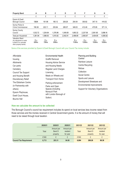| <b>Property Band</b>                                                                               | A                       | В             | C                        | D        | E              | F             | G                         | н                         |
|----------------------------------------------------------------------------------------------------|-------------------------|---------------|--------------------------|----------|----------------|---------------|---------------------------|---------------------------|
|                                                                                                    | £                       | £             | £                        | £        | £              | £             | £                         | £                         |
| Epsom & Ewell<br>Borough Council                                                                   | 138.84                  | 161.98        | 185.12                   | 208.26   | 254.54         | 300.82        | 347.10                    | 416.52                    |
| Surrey Police &<br>Crime Commissioner                                                              | 190.38                  | 222.11        | 253.84                   | 285.57   | 349.03         | 412.49        | 475.95                    | 571.14                    |
| <b>Surrey County</b><br>Council                                                                    | 1.032.72                | 1.204.84      | 1,376.96                 | 1.549.08 | 1,893.32       | 2,237.56      | 2,581.80                  | 3,098.16                  |
| Total per Household                                                                                | 1,361.94                | 1,588.93      | 1,815.92                 | 2,042.91 | 2,496.89       | 2,950.87      | 3,404.85                  | 4,085.82                  |
| <b>Valuation Band</b><br>(An adjustment is made<br>to Band D to calculate<br>other property bands) | Dx<br>6 <sup>9ths</sup> | D x<br>7/9ths | D x<br>8 <sup>9ths</sup> |          | D x<br>11/9ths | Dx<br>13/9ths | D x<br>15 <sub>9ths</sub> | D x<br>18 <sub>9ths</sub> |

Some of the services provided by Epsom & Ewell Borough Council with your Council Tax money include:

| Affordable                  | <b>Environmental Health</b>   | Planning and Building               |
|-----------------------------|-------------------------------|-------------------------------------|
| housing                     | Graffiti Removal              | Control                             |
| Allotments                  | <b>Housing Advice Service</b> | Rainbow Leisure                     |
| Car parks                   | and Housing Needs             | Centre Recycling                    |
| Cemetery                    | <b>Register Land Charges</b>  | Refuse                              |
| Council Tax Support         | Licensing                     | Collection                          |
| and Housing Benefit         | Meals on Wheels and           | Social Centre                       |
| <b>Discretionary Relief</b> | <b>Transport from Home</b>    | Sports and Leisure                  |
| The Ebbisham Centre         | Parking enforcement           | Development Streetcare and          |
| (in Partnership with        | Parks and Open                | Environmental improvements          |
| others)                     | Spaces (including             | Support for Voluntary Organisations |
| Epsom Playhouse,            | Nonsuch Park                  |                                     |
| Ewell Court House,          | with London Borough of        |                                     |
| <b>Bourne Hall</b>          | Sutton)                       |                                     |

### **How we calculate the amount to be collected**

The Borough Council's council tax requirement includes its spend on local services less income raised from those services and the monies received in Central Government grants. It is the amount of money that will need to be raised through local taxation:

|                                | 2020/21 | 2020/21    | 2020/21    | 2021/22      | 2021/22       | 2021/22    |
|--------------------------------|---------|------------|------------|--------------|---------------|------------|
|                                |         | Amount per | Amount per |              | Amount per    | Amount per |
|                                | Total   | Band D     | resident   | <b>Total</b> | <b>Band D</b> | resident   |
|                                |         | property   | for year   |              | property      | for year   |
|                                | £'000   |            |            | £'000        |               |            |
| <b>Council Tax Requirement</b> | 6,713   | 203.31     | 84.00      | 6.904        | 208.26        | 86,38      |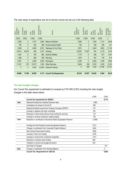| Expenditure<br>2020/21<br>Gross<br>£'000 | Govemment<br>Grants<br>2020/21<br>£'000 | Income<br>2020/21<br>Other<br>£'000 | Net Expenditure<br>2020/21<br>£'000 | Service                        | Expenditure<br>2021/22<br>Gross<br>£'000 | Govemment<br>Grants<br>2021/22<br>£'000 | 2021/22<br>Income<br>Other<br>£'000 | Expenditure<br>2021/22<br>Jet<br>£'000 | per resident<br>2021/22<br>Expenditure<br>£ |
|------------------------------------------|-----------------------------------------|-------------------------------------|-------------------------------------|--------------------------------|------------------------------------------|-----------------------------------------|-------------------------------------|----------------------------------------|---------------------------------------------|
|                                          |                                         |                                     |                                     |                                |                                          |                                         |                                     |                                        |                                             |
| 3,509                                    | 0                                       | 1,427                               | 2,082                               | <b>Refuse Collection</b>       | 3,585                                    | $\boldsymbol{0}$                        | 1,454                               | 2,131                                  | 26.66                                       |
| 759                                      | $\mathbf{0}$                            | 493                                 | 266                                 | <b>Environmental Health</b>    | 792                                      | 0                                       | 536                                 | 256                                    | 3.21                                        |
| 3,849                                    | 0                                       | 4,668                               | (819)                               | Highways & Car Parks           | 3,951                                    | 0                                       | 4,844                               | (893)                                  | (11.18)                                     |
| 19,612                                   | 16,916                                  | 589                                 | 2,107                               | Housing                        | 20,587                                   | 17,827                                  | 581                                 | 2,179                                  | 27.26                                       |
| 1,647                                    | $\,6\,$                                 | 759                                 | 882                                 | Social & Welfare               | 1,719                                    | $6\phantom{1}$                          | 836                                 | 877                                    | 10.97                                       |
| 1,486                                    | $\mathbf{0}$                            | 888                                 | 598                                 | Planning                       | 1,676                                    | $\mathbf{0}$                            | 941                                 | 735                                    | 9.19                                        |
| 6,281                                    | $\mathbf{0}$                            | 2,658                               | 3,623                               | Recreation                     | 6,349                                    | $\mathbf{0}$                            | 2,603                               | 3,746                                  | 46.86                                       |
| 11,547                                   | 470                                     | 10,073                              | 1,004                               | <b>Other Services</b>          | 9,684                                    | 399                                     | 9,703                               | (418)                                  | (5.22)                                      |
| $\mathbf{0}$                             | $\mathbf{0}$                            | 3,030                               | (3,030)                             | <b>External Funding</b>        | 0                                        | 365                                     | 1,344                               | (1,709)                                | (21.37)                                     |
| 48,690                                   | 17,392                                  | 24,585                              | 6,713                               | <b>Council Tax Requirement</b> | 48,343                                   | 18,597                                  | 22,842                              | 6,904                                  | 86.38                                       |

The main areas of expenditure and net of service income are set out in the following table:

## **The main budget changes**

Our Council Tax requirement is estimated to increase by £191,000 (2.8%) including the main budget changes in the table shown below:

|       |                                                                  | £'000   | £'000    |
|-------|------------------------------------------------------------------|---------|----------|
|       | Council tax requirement for 2020/21                              |         | 6,713    |
| Add:  | Reduced funding from retained business rates                     | 1,688   |          |
|       | Contingency for impact of Covid-19                               | 950     |          |
|       | Reduced dividend income from Property Company (EEPIC)            | 741     |          |
|       | Increase in salaries and other overheads                         | 361     |          |
|       | Reduction in New Homes Bonus Grant funding for services          | 137     |          |
|       | Increase in revenue funding for capital projects                 | 100     |          |
| Less: | Reduction in contribution to Business Rates Equalisation Reserve | (1,688) |          |
|       | Funding from the Property Income Equalisation Reserve            | (741)   |          |
|       | Change in contribution from Corporate Projects Reserve           | (444)   |          |
|       | New Central Government funding                                   | (365)   |          |
|       | Increase in fees and charges                                     | (278)   |          |
|       | Increase in income from investment properties                    | (121)   |          |
|       | Reduction in pension back-funding                                | (96)    |          |
|       | Variations in service and budget provisions                      | (53)    |          |
|       | Sub-Total of Changes                                             |         | 191      |
| Add:  | Change in contribution from Working Balance                      |         | $\Omega$ |
|       | Council Tax Requirement for 2021/22                              |         | 6,904    |
|       |                                                                  |         |          |